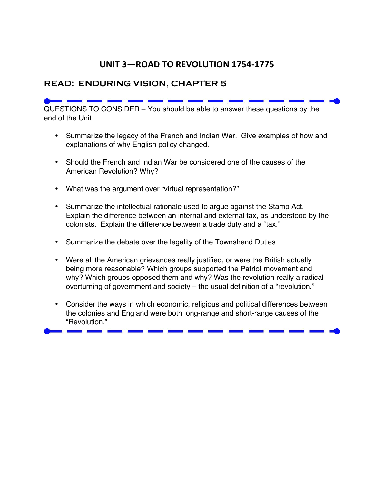## **UNIT 3—ROAD TO REVOLUTION 1754-1775**

## **READ: ENDURING VISION, CHAPTER 5**

QUESTIONS TO CONSIDER – You should be able to answer these questions by the end of the Unit

- Summarize the legacy of the French and Indian War. Give examples of how and explanations of why English policy changed.
- Should the French and Indian War be considered one of the causes of the American Revolution? Why?
- What was the argument over "virtual representation?"
- Summarize the intellectual rationale used to argue against the Stamp Act. Explain the difference between an internal and external tax, as understood by the colonists. Explain the difference between a trade duty and a "tax."
- Summarize the debate over the legality of the Townshend Duties
- Were all the American grievances really justified, or were the British actually being more reasonable? Which groups supported the Patriot movement and why? Which groups opposed them and why? Was the revolution really a radical overturning of government and society – the usual definition of a "revolution."
- Consider the ways in which economic, religious and political differences between the colonies and England were both long-range and short-range causes of the "Revolution."